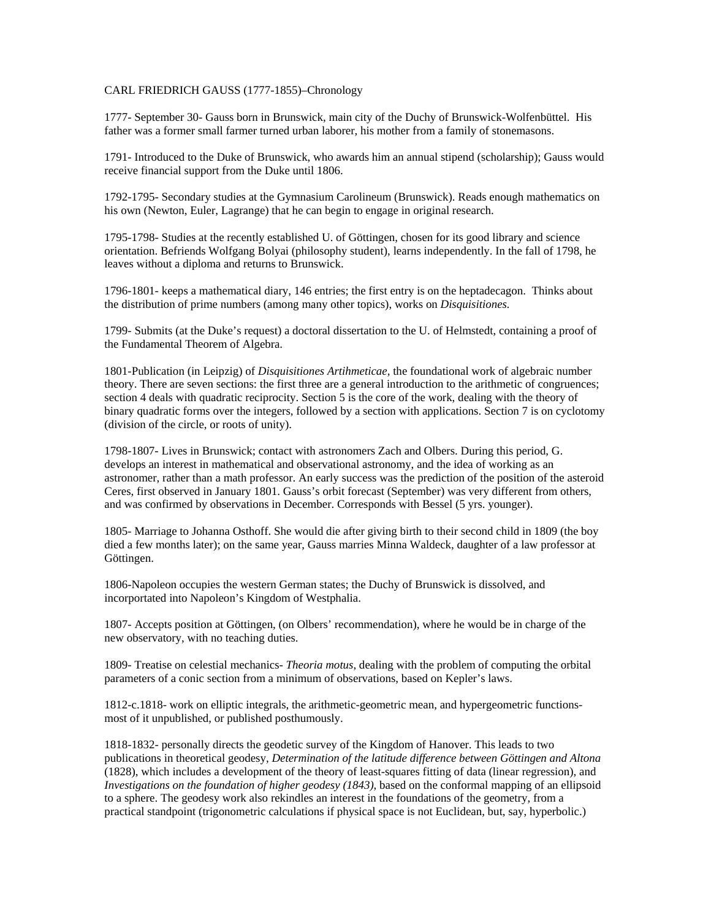## CARL FRIEDRICH GAUSS (1777-1855)–Chronology

1777- September 30- Gauss born in Brunswick, main city of the Duchy of Brunswick-Wolfenbüttel. His father was a former small farmer turned urban laborer, his mother from a family of stonemasons.

1791- Introduced to the Duke of Brunswick, who awards him an annual stipend (scholarship); Gauss would receive financial support from the Duke until 1806.

1792-1795- Secondary studies at the Gymnasium Carolineum (Brunswick). Reads enough mathematics on his own (Newton, Euler, Lagrange) that he can begin to engage in original research.

1795-1798- Studies at the recently established U. of Göttingen, chosen for its good library and science orientation. Befriends Wolfgang Bolyai (philosophy student), learns independently. In the fall of 1798, he leaves without a diploma and returns to Brunswick.

1796-1801- keeps a mathematical diary, 146 entries; the first entry is on the heptadecagon. Thinks about the distribution of prime numbers (among many other topics), works on *Disquisitiones.* 

1799- Submits (at the Duke's request) a doctoral dissertation to the U. of Helmstedt, containing a proof of the Fundamental Theorem of Algebra.

1801-Publication (in Leipzig) of *Disquisitiones Artihmeticae,* the foundational work of algebraic number theory. There are seven sections: the first three are a general introduction to the arithmetic of congruences; section 4 deals with quadratic reciprocity. Section 5 is the core of the work, dealing with the theory of binary quadratic forms over the integers, followed by a section with applications. Section 7 is on cyclotomy (division of the circle, or roots of unity).

1798-1807- Lives in Brunswick; contact with astronomers Zach and Olbers. During this period, G. develops an interest in mathematical and observational astronomy, and the idea of working as an astronomer, rather than a math professor. An early success was the prediction of the position of the asteroid Ceres, first observed in January 1801. Gauss's orbit forecast (September) was very different from others, and was confirmed by observations in December. Corresponds with Bessel (5 yrs. younger).

1805- Marriage to Johanna Osthoff. She would die after giving birth to their second child in 1809 (the boy died a few months later); on the same year, Gauss marries Minna Waldeck, daughter of a law professor at Göttingen.

1806-Napoleon occupies the western German states; the Duchy of Brunswick is dissolved, and incorportated into Napoleon's Kingdom of Westphalia.

1807- Accepts position at Göttingen, (on Olbers' recommendation), where he would be in charge of the new observatory, with no teaching duties.

1809- Treatise on celestial mechanics- *Theoria motus*, dealing with the problem of computing the orbital parameters of a conic section from a minimum of observations, based on Kepler's laws.

1812-c.1818- work on elliptic integrals, the arithmetic-geometric mean, and hypergeometric functionsmost of it unpublished, or published posthumously.

1818-1832- personally directs the geodetic survey of the Kingdom of Hanover. This leads to two publications in theoretical geodesy, *Determination of the latitude difference between Göttingen and Altona* (1828), which includes a development of the theory of least-squares fitting of data (linear regression), and *Investigations on the foundation of higher geodesy (1843)*, based on the conformal mapping of an ellipsoid to a sphere. The geodesy work also rekindles an interest in the foundations of the geometry, from a practical standpoint (trigonometric calculations if physical space is not Euclidean, but, say, hyperbolic.)